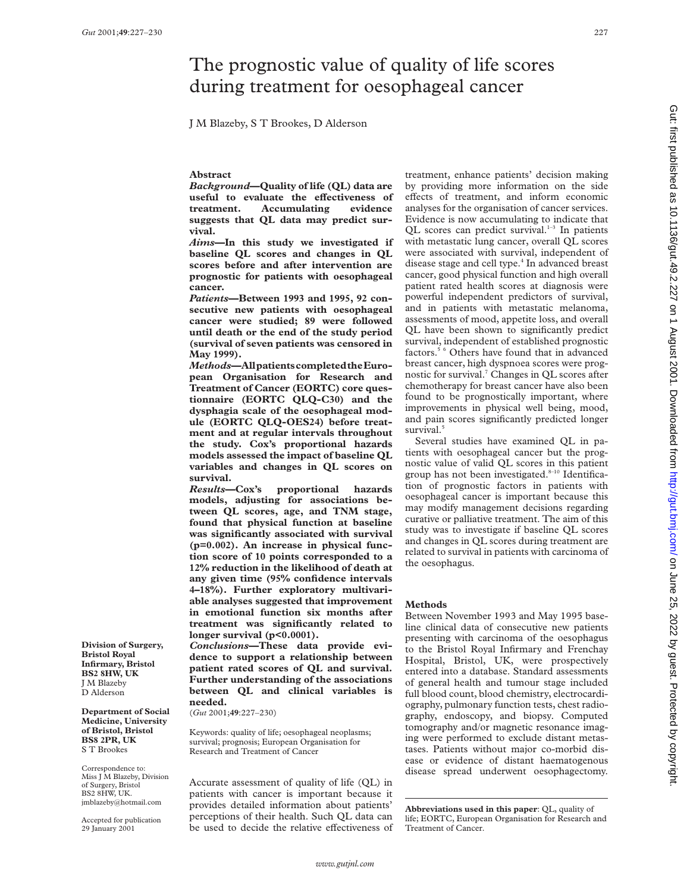# The prognostic value of quality of life scores during treatment for oesophageal cancer

J M Blazeby, S T Brookes, D Alderson

## **Abstract**

*Background***—Quality of life (QL) data are** useful to evaluate the effectiveness of **treatment. Accumulating evidence suggests that QL data may predict survival.**

*Aims***—In this study we investigated if baseline QL scores and changes in QL scores before and after intervention are prognostic for patients with oesophageal cancer.**

*Patients***—Between 1993 and 1995, 92 consecutive new patients with oesophageal cancer were studied; 89 were followed until death or the end of the study period (survival of seven patients was censored in May 1999).**

*Methods***—AllpatientscompletedtheEuropean Organisation for Research and Treatment of Cancer (EORTC) core questionnaire (EORTC QLQ-C30) and the dysphagia scale of the oesophageal module (EORTC QLQ-OES24) before treatment and at regular intervals throughout the study. Cox's proportional hazards models assessed the impact of baseline QL variables and changes in QL scores on survival.**

*Results***—Cox's proportional hazards models, adjusting for associations between QL scores, age, and TNM stage, found that physical function at baseline was significantly associated with survival (p=0.002). An increase in physical function score of 10 points corresponded to a 12% reduction in the likelihood of death at any given time (95% confidence intervals 4–18%). Further exploratory multivariable analyses suggested that improvement in emotional function six months after treatment was significantly related to longer survival (p<0.0001).**

*Conclusions***—These data provide evidence to support a relationship between patient rated scores of QL and survival. Further understanding of the associations between QL and clinical variables is needed.**

(*Gut* 2001;**49**:227–230)

Keywords: quality of life; oesophageal neoplasms; survival; prognosis; European Organisation for Research and Treatment of Cancer

Accurate assessment of quality of life (QL) in patients with cancer is important because it provides detailed information about patients' perceptions of their health. Such QL data can be used to decide the relative effectiveness of

treatment, enhance patients' decision making by providing more information on the side effects of treatment, and inform economic analyses for the organisation of cancer services. Evidence is now accumulating to indicate that QL scores can predict survival.<sup>1-3</sup> In patients with metastatic lung cancer, overall QL scores were associated with survival, independent of disease stage and cell type.4 In advanced breast cancer, good physical function and high overall patient rated health scores at diagnosis were powerful independent predictors of survival, and in patients with metastatic melanoma, assessments of mood, appetite loss, and overall QL have been shown to significantly predict survival, independent of established prognostic factors.5 6 Others have found that in advanced breast cancer, high dyspnoea scores were prognostic for survival.7 Changes in QL scores after chemotherapy for breast cancer have also been found to be prognostically important, where improvements in physical well being, mood, and pain scores significantly predicted longer survival.<sup>5</sup>

Several studies have examined QL in patients with oesophageal cancer but the prognostic value of valid QL scores in this patient group has not been investigated. $8-10$  Identification of prognostic factors in patients with oesophageal cancer is important because this may modify management decisions regarding curative or palliative treatment. The aim of this study was to investigate if baseline QL scores and changes in QL scores during treatment are related to survival in patients with carcinoma of the oesophagus.

#### **Methods**

Between November 1993 and May 1995 baseline clinical data of consecutive new patients presenting with carcinoma of the oesophagus to the Bristol Royal Infirmary and Frenchay Hospital, Bristol, UK, were prospectively entered into a database. Standard assessments of general health and tumour stage included full blood count, blood chemistry, electrocardiography, pulmonary function tests, chest radiography, endoscopy, and biopsy*.* Computed tomography and/or magnetic resonance imaging were performed to exclude distant metastases. Patients without major co-morbid disease or evidence of distant haematogenous disease spread underwent oesophagectomy.

**Abbreviations used in this paper**: QL, quality of life; EORTC, European Organisation for Research and Treatment of Cancer.

**Division of Surgery, Bristol Royal Infirmary, Bristol BS2 8HW, UK** J M Blazeby D Alderson

**Department of Social Medicine, University of Bristol, Bristol BS8 2PR, UK** S T Brookes

Correspondence to: Miss J M Blazeby, Division of Surgery, Bristol BS2 8HW, UK. jmblazeby@hotmail.com

Accepted for publication 29 January 2001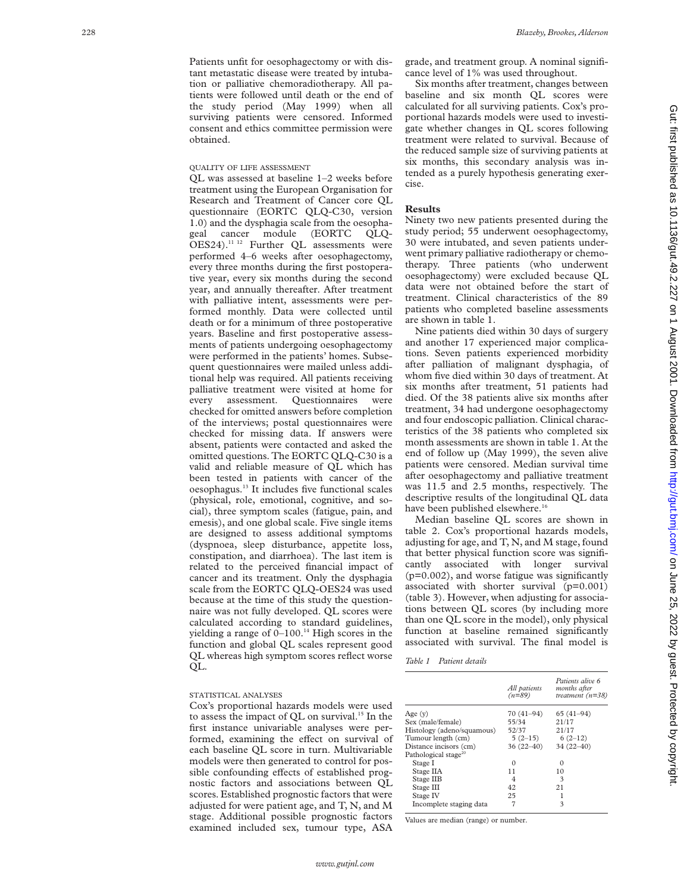Patients unfit for oesophagectomy or with distant metastatic disease were treated by intubation or palliative chemoradiotherapy. All patients were followed until death or the end of the study period (May 1999) when all surviving patients were censored. Informed consent and ethics committee permission were obtained.

# QUALITY OF LIFE ASSESSMENT

QL was assessed at baseline 1–2 weeks before treatment using the European Organisation for Research and Treatment of Cancer core QL questionnaire (EORTC QLQ-C30, version 1.0) and the dysphagia scale from the oesophageal cancer module (EORTC QLQ-OES24).<sup>11 12</sup> Further QL assessments were performed 4–6 weeks after oesophagectomy, every three months during the first postoperative year, every six months during the second year, and annually thereafter. After treatment with palliative intent, assessments were performed monthly. Data were collected until death or for a minimum of three postoperative years. Baseline and first postoperative assessments of patients undergoing oesophagectomy were performed in the patients' homes. Subsequent questionnaires were mailed unless additional help was required. All patients receiving palliative treatment were visited at home for every assessment. Questionnaires were checked for omitted answers before completion of the interviews; postal questionnaires were checked for missing data. If answers were absent, patients were contacted and asked the omitted questions. The EORTC QLQ-C30 is a valid and reliable measure of QL which has been tested in patients with cancer of the oesophagus.13 It includes five functional scales (physical, role, emotional, cognitive, and social), three symptom scales (fatigue, pain, and emesis), and one global scale. Five single items are designed to assess additional symptoms (dyspnoea, sleep disturbance, appetite loss, constipation, and diarrhoea). The last item is related to the perceived financial impact of cancer and its treatment. Only the dysphagia scale from the EORTC QLQ-OES24 was used because at the time of this study the questionnaire was not fully developed. QL scores were calculated according to standard guidelines, yielding a range of  $0-100$ .<sup>14</sup> High scores in the function and global QL scales represent good QL whereas high symptom scores reflect worse QL.

#### STATISTICAL ANALYSES

Cox's proportional hazards models were used to assess the impact of OL on survival.<sup>15</sup> In the first instance univariable analyses were performed, examining the effect on survival of each baseline QL score in turn. Multivariable models were then generated to control for possible confounding effects of established prognostic factors and associations between QL scores. Established prognostic factors that were adjusted for were patient age, and T, N, and M stage. Additional possible prognostic factors examined included sex, tumour type, ASA

grade, and treatment group. A nominal significance level of 1% was used throughout.

Six months after treatment, changes between baseline and six month QL scores were calculated for all surviving patients. Cox's proportional hazards models were used to investigate whether changes in QL scores following treatment were related to survival. Because of the reduced sample size of surviving patients at six months, this secondary analysis was intended as a purely hypothesis generating exercise.

## **Results**

Ninety two new patients presented during the study period; 55 underwent oesophagectomy, 30 were intubated, and seven patients underwent primary palliative radiotherapy or chemotherapy. Three patients (who underwent oesophagectomy) were excluded because QL data were not obtained before the start of treatment. Clinical characteristics of the 89 patients who completed baseline assessments are shown in table 1.

Nine patients died within 30 days of surgery and another 17 experienced major complications. Seven patients experienced morbidity after palliation of malignant dysphagia, of whom five died within 30 days of treatment. At six months after treatment, 51 patients had died. Of the 38 patients alive six months after treatment, 34 had undergone oesophagectomy and four endoscopic palliation. Clinical characteristics of the 38 patients who completed six month assessments are shown in table 1. At the end of follow up (May 1999), the seven alive patients were censored. Median survival time after oesophagectomy and palliative treatment was 11.5 and 2.5 months, respectively. The descriptive results of the longitudinal QL data have been published elsewhere.<sup>16</sup>

Median baseline QL scores are shown in table 2. Cox's proportional hazards models, adjusting for age, and T, N, and M stage, found that better physical function score was significantly associated with longer survival (p=0.002), and worse fatigue was significantly associated with shorter survival (p=0.001) (table 3). However, when adjusting for associations between QL scores (by including more than one QL score in the model), only physical function at baseline remained significantly associated with survival. The final model is

| Patient details |
|-----------------|
|                 |

|                                  | All patients<br>$(n=89)$ | Patients alive 6<br>months after<br>treatment $(n=38)$ |
|----------------------------------|--------------------------|--------------------------------------------------------|
| Age (y)                          | 70 (41–94)               | $65(41-94)$                                            |
| Sex (male/female)                | 55/34                    | 21/17                                                  |
| Histology (adeno/squamous)       | 52/37                    | 21/17                                                  |
| Tumour length (cm)               | $5(2-15)$                | $6(2-12)$                                              |
| Distance incisors (cm)           | $36(22-40)$              | $34(22 - 40)$                                          |
| Pathological stage <sup>20</sup> |                          |                                                        |
| Stage I                          | 0                        | $\Omega$                                               |
| Stage IIA                        | 11                       | 10                                                     |
| Stage IIB                        | 4                        | 3                                                      |
| Stage III                        | 42                       | 21                                                     |
| Stage IV                         | 25                       |                                                        |
| Incomplete staging data          | 7                        | 3                                                      |
|                                  |                          |                                                        |

Values are median (range) or number.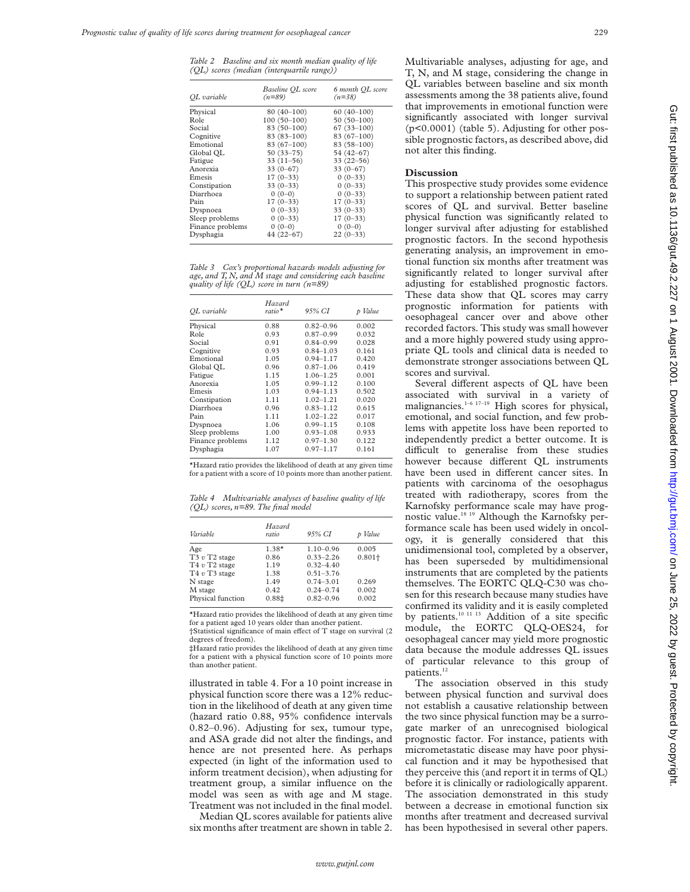*Table 2 Baseline and six month median quality of life (QL) scores (median (interquartile range))*

| OL variable      | Baseline OL score<br>$(n=89)$ | 6 month QL score<br>$(n=38)$ |
|------------------|-------------------------------|------------------------------|
| Physical         | $80(40-100)$                  | $60(40-100)$                 |
| Role             | $100(50-100)$                 | $50(50-100)$                 |
| Social           | 83 (50-100)                   | $67(33 - 100)$               |
| Cognitive        | $83(83 - 100)$                | $83(67-100)$                 |
| Emotional        | $83(67-100)$                  | $83(58-100)$                 |
| Global OL        | $50(33 - 75)$                 | 54 (42-67)                   |
| Fatigue          | $33(11-56)$                   | $33(22 - 56)$                |
| Anorexia         | $33(0-67)$                    | $33(0-67)$                   |
| Emesis           | $17(0-33)$                    | $0(0-33)$                    |
| Constipation     | $33(0-33)$                    | $0(0-33)$                    |
| Diarrhoea        | $0(0-0)$                      | $0(0-33)$                    |
| Pain             | $17(0-33)$                    | $17(0-33)$                   |
| Dyspnoea         | $0(0-33)$                     | $33(0-33)$                   |
| Sleep problems   | $0(0-33)$                     | $17(0-33)$                   |
| Finance problems | $0(0-0)$                      | $0(0-0)$                     |
| Dysphagia        | $44(22 - 67)$                 | $22(0-33)$                   |

*Table 3 Cox's proportional hazards models adjusting for age, and T, N, and M stage and considering each baseline quality of life (QL) score in turn (n=89)*

| OL variable      | Hazard<br>ratio* | 95% CI        | Value<br>D |
|------------------|------------------|---------------|------------|
| Physical         | 0.88             | $0.82 - 0.96$ | 0.002      |
| Role             | 0.93             | $0.87 - 0.99$ | 0.032      |
| Social           | 0.91             | $0.84 - 0.99$ | 0.028      |
| Cognitive        | 0.93             | $0.84 - 1.03$ | 0.161      |
| Emotional        | 1.05             | $0.94 - 1.17$ | 0.420      |
| Global QL        | 0.96             | $0.87 - 1.06$ | 0.419      |
| Fatigue          | 1.15             | $1.06 - 1.25$ | 0.001      |
| Anorexia         | 1.05             | $0.99 - 1.12$ | 0.100      |
| Emesis           | 1.03             | $0.94 - 1.13$ | 0.502      |
| Constipation     | 1.11             | $1.02 - 1.21$ | 0.020      |
| Diarrhoea        | 0.96             | $0.83 - 1.12$ | 0.615      |
| Pain             | 1.11             | $1.02 - 1.22$ | 0.017      |
| Dyspnoea         | 1.06             | $0.99 - 1.15$ | 0.108      |
| Sleep problems   | 1.00             | $0.93 - 1.08$ | 0.933      |
| Finance problems | 1.12             | $0.97 - 1.30$ | 0.122      |
| Dysphagia        | 1.07             | $0.97 - 1.17$ | 0.161      |

\*Hazard ratio provides the likelihood of death at any given time for a patient with a score of 10 points more than another patient.

*Table 4 Multivariable analyses of baseline quality of life (QL) scores, n=89. The final model*

| Variable                                | Hazard<br>ratio | 95% CI        | Value     |
|-----------------------------------------|-----------------|---------------|-----------|
| Age                                     | $1.38*$         | $1.10 - 0.96$ | 0.005     |
| T <sub>3</sub> $v$ T <sub>2</sub> stage | 0.86            | $0.33 - 2.26$ | $0.801 +$ |
| T4 $v$ T2 stage                         | 1.19            | $0.32 - 4.40$ |           |
| T4 $v$ T3 stage                         | 1.38            | $0.51 - 3.76$ |           |
| N stage                                 | 1.49            | $0.74 - 3.01$ | 0.269     |
| M stage                                 | 0.42            | $0.24 - 0.74$ | 0.002     |
| Physical function                       | 0.881           | $0.82 - 0.96$ | 0.002     |

\*Hazard ratio provides the likelihood of death at any given time for a patient aged 10 years older than another patient.  $\dagger$ Statistical significance of main effect of T stage on survival (2)

degrees of freedom). ‡Hazard ratio provides the likelihood of death at any given time for a patient with a physical function score of 10 points more than another patient.

illustrated in table 4. For a 10 point increase in physical function score there was a 12% reduction in the likelihood of death at any given time (hazard ratio 0.88, 95% confidence intervals 0.82–0.96). Adjusting for sex, tumour type, and ASA grade did not alter the findings, and hence are not presented here. As perhaps expected (in light of the information used to inform treatment decision), when adjusting for treatment group, a similar influence on the model was seen as with age and M stage. Treatment was not included in the final model.

Median QL scores available for patients alive six months after treatment are shown in table 2. Multivariable analyses, adjusting for age, and T, N, and M stage, considering the change in QL variables between baseline and six month assessments among the 38 patients alive, found that improvements in emotional function were significantly associated with longer survival (p<0.0001) (table 5). Adjusting for other possible prognostic factors, as described above, did not alter this finding.

#### **Discussion**

This prospective study provides some evidence to support a relationship between patient rated scores of QL and survival. Better baseline physical function was significantly related to longer survival after adjusting for established prognostic factors. In the second hypothesis generating analysis, an improvement in emotional function six months after treatment was significantly related to longer survival after adjusting for established prognostic factors. These data show that QL scores may carry prognostic information for patients with oesophageal cancer over and above other recorded factors. This study was small however and a more highly powered study using appropriate QL tools and clinical data is needed to demonstrate stronger associations between QL scores and survival.

Several different aspects of QL have been associated with survival in a variety of malignancies. $1-6$  17-19 High scores for physical, emotional, and social function, and few problems with appetite loss have been reported to independently predict a better outcome. It is difficult to generalise from these studies however because different OL instruments have been used in different cancer sites. In patients with carcinoma of the oesophagus treated with radiotherapy, scores from the Karnofsky performance scale may have prognostic value.18 19 Although the Karnofsky performance scale has been used widely in oncology, it is generally considered that this unidimensional tool, completed by a observer, has been superseded by multidimensional instruments that are completed by the patients themselves. The EORTC QLQ-C30 was chosen for this research because many studies have confirmed its validity and it is easily completed by patients.<sup>10 11 13</sup> Addition of a site specific module, the EORTC QLQ-OES24, for oesophageal cancer may yield more prognostic data because the module addresses QL issues of particular relevance to this group of patients.<sup>12</sup>

The association observed in this study between physical function and survival does not establish a causative relationship between the two since physical function may be a surrogate marker of an unrecognised biological prognostic factor. For instance, patients with micrometastatic disease may have poor physical function and it may be hypothesised that they perceive this (and report it in terms of QL) before it is clinically or radiologically apparent. The association demonstrated in this study between a decrease in emotional function six months after treatment and decreased survival has been hypothesised in several other papers.